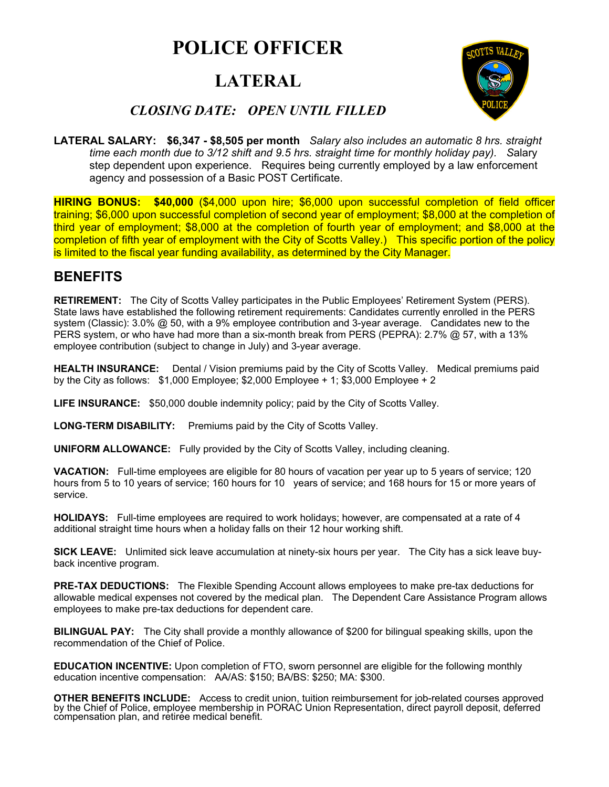# **POLICE OFFICER**

## **LATERAL**



### *CLOSING DATE: OPEN UNTIL FILLED*

**LATERAL SALARY: \$6,347 - \$8,505 per month** *Salary also includes an automatic 8 hrs. straight time each month due to 3/12 shift and 9.5 hrs. straight time for monthly holiday pay). S*alary step dependent upon experience. Requires being currently employed by a law enforcement agency and possession of a Basic POST Certificate.

**HIRING BONUS: \$40,000** (\$4,000 upon hire; \$6,000 upon successful completion of field officer training; \$6,000 upon successful completion of second year of employment; \$8,000 at the completion of third year of employment; \$8,000 at the completion of fourth year of employment; and \$8,000 at the completion of fifth year of employment with the City of Scotts Valley.) This specific portion of the policy is limited to the fiscal year funding availability, as determined by the City Manager.

## **BENEFITS**

**RETIREMENT:** The City of Scotts Valley participates in the Public Employees' Retirement System (PERS). State laws have established the following retirement requirements: Candidates currently enrolled in the PERS system (Classic): 3.0% @ 50, with a 9% employee contribution and 3-year average. Candidates new to the PERS system, or who have had more than a six-month break from PERS (PEPRA): 2.7% @ 57, with a 13% employee contribution (subject to change in July) and 3-year average.

**HEALTH INSURANCE:** Dental / Vision premiums paid by the City of Scotts Valley. Medical premiums paid by the City as follows: \$1,000 Employee; \$2,000 Employee + 1; \$3,000 Employee + 2

**LIFE INSURANCE:** \$50,000 double indemnity policy; paid by the City of Scotts Valley.

LONG-TERM DISABILITY: Premiums paid by the City of Scotts Valley.

**UNIFORM ALLOWANCE:** Fully provided by the City of Scotts Valley, including cleaning.

**VACATION:** Full-time employees are eligible for 80 hours of vacation per year up to 5 years of service; 120 hours from 5 to 10 years of service; 160 hours for 10 years of service; and 168 hours for 15 or more years of service.

**HOLIDAYS:** Full-time employees are required to work holidays; however, are compensated at a rate of 4 additional straight time hours when a holiday falls on their 12 hour working shift.

**SICK LEAVE:** Unlimited sick leave accumulation at ninety-six hours per year. The City has a sick leave buyback incentive program.

**PRE-TAX DEDUCTIONS:** The Flexible Spending Account allows employees to make pre-tax deductions for allowable medical expenses not covered by the medical plan. The Dependent Care Assistance Program allows employees to make pre-tax deductions for dependent care.

**BILINGUAL PAY:** The City shall provide a monthly allowance of \$200 for bilingual speaking skills, upon the recommendation of the Chief of Police.

**EDUCATION INCENTIVE:** Upon completion of FTO, sworn personnel are eligible for the following monthly education incentive compensation: AA/AS: \$150; BA/BS: \$250; MA: \$300.

**OTHER BENEFITS INCLUDE:** Access to credit union, tuition reimbursement for job-related courses approved by the Chief of Police, employee membership in PORAC Union Representation, direct payroll deposit, deferred compensat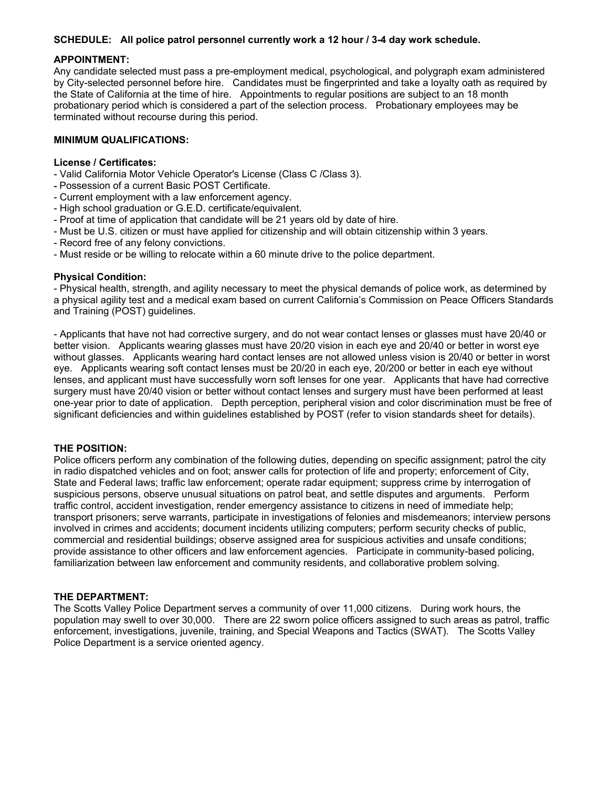#### **SCHEDULE: All police patrol personnel currently work a 12 hour / 3-4 day work schedule.**

#### **APPOINTMENT:**

Any candidate selected must pass a pre-employment medical, psychological, and polygraph exam administered by City-selected personnel before hire. Candidates must be fingerprinted and take a loyalty oath as required by the State of California at the time of hire. Appointments to regular positions are subject to an 18 month probationary period which is considered a part of the selection process. Probationary employees may be terminated without recourse during this period.

#### **MINIMUM QUALIFICATIONS:**

#### **License / Certificates:**

- Valid California Motor Vehicle Operator's License (Class C /Class 3).
- Possession of a current Basic POST Certificate.
- Current employment with a law enforcement agency.
- High school graduation or G.E.D. certificate/equivalent.
- Proof at time of application that candidate will be 21 years old by date of hire.
- Must be U.S. citizen or must have applied for citizenship and will obtain citizenship within 3 years.
- Record free of any felony convictions.
- Must reside or be willing to relocate within a 60 minute drive to the police department.

#### **Physical Condition:**

- Physical health, strength, and agility necessary to meet the physical demands of police work, as determined by a physical agility test and a medical exam based on current California's Commission on Peace Officers Standards and Training (POST) guidelines.

- Applicants that have not had corrective surgery, and do not wear contact lenses or glasses must have 20/40 or better vision. Applicants wearing glasses must have 20/20 vision in each eye and 20/40 or better in worst eye without glasses. Applicants wearing hard contact lenses are not allowed unless vision is 20/40 or better in worst eye. Applicants wearing soft contact lenses must be 20/20 in each eye, 20/200 or better in each eye without lenses, and applicant must have successfully worn soft lenses for one year. Applicants that have had corrective surgery must have 20/40 vision or better without contact lenses and surgery must have been performed at least one-year prior to date of application. Depth perception, peripheral vision and color discrimination must be free of significant deficiencies and within guidelines established by POST (refer to vision standards sheet for details).

#### **THE POSITION:**

Police officers perform any combination of the following duties, depending on specific assignment; patrol the city in radio dispatched vehicles and on foot; answer calls for protection of life and property; enforcement of City, State and Federal laws; traffic law enforcement; operate radar equipment; suppress crime by interrogation of suspicious persons, observe unusual situations on patrol beat, and settle disputes and arguments. Perform traffic control, accident investigation, render emergency assistance to citizens in need of immediate help; transport prisoners; serve warrants, participate in investigations of felonies and misdemeanors; interview persons involved in crimes and accidents; document incidents utilizing computers; perform security checks of public, commercial and residential buildings; observe assigned area for suspicious activities and unsafe conditions; provide assistance to other officers and law enforcement agencies. Participate in community-based policing, familiarization between law enforcement and community residents, and collaborative problem solving.

#### **THE DEPARTMENT:**

The Scotts Valley Police Department serves a community of over 11,000 citizens. During work hours, the population may swell to over 30,000. There are 22 sworn police officers assigned to such areas as patrol, traffic enforcement, investigations, juvenile, training, and Special Weapons and Tactics (SWAT). The Scotts Valley Police Department is a service oriented agency.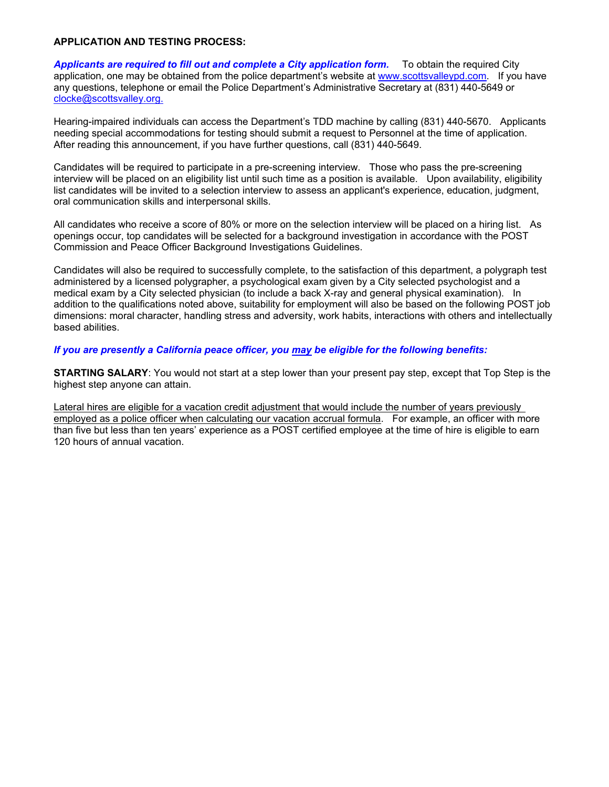#### **APPLICATION AND TESTING PROCESS:**

*Applicants are required to fill out and complete a City application form.* To obtain the required City application, one may be obtained from the police department's website at www.scottsvalleypd.com. If you have any questions, telephone or email the Police Department's Administrative Secretary at (831) 440-5649 or clocke@scottsvalley.org.

Hearing-impaired individuals can access the Department's TDD machine by calling (831) 440-5670. Applicants needing special accommodations for testing should submit a request to Personnel at the time of application. After reading this announcement, if you have further questions, call (831) 440-5649.

Candidates will be required to participate in a pre-screening interview. Those who pass the pre-screening interview will be placed on an eligibility list until such time as a position is available. Upon availability, eligibility list candidates will be invited to a selection interview to assess an applicant's experience, education, judgment, oral communication skills and interpersonal skills.

All candidates who receive a score of 80% or more on the selection interview will be placed on a hiring list. As openings occur, top candidates will be selected for a background investigation in accordance with the POST Commission and Peace Officer Background Investigations Guidelines.

Candidates will also be required to successfully complete, to the satisfaction of this department, a polygraph test administered by a licensed polygrapher, a psychological exam given by a City selected psychologist and a medical exam by a City selected physician (to include a back X-ray and general physical examination). In addition to the qualifications noted above, suitability for employment will also be based on the following POST job dimensions: moral character, handling stress and adversity, work habits, interactions with others and intellectually based abilities.

*If you are presently a California peace officer, you may be eligible for the following benefits:*

**STARTING SALARY**: You would not start at a step lower than your present pay step, except that Top Step is the highest step anyone can attain.

Lateral hires are eligible for a vacation credit adjustment that would include the number of years previously employed as a police officer when calculating our vacation accrual formula. For example, an officer with more than five but less than ten years' experience as a POST certified employee at the time of hire is eligible to earn 120 hours of annual vacation.